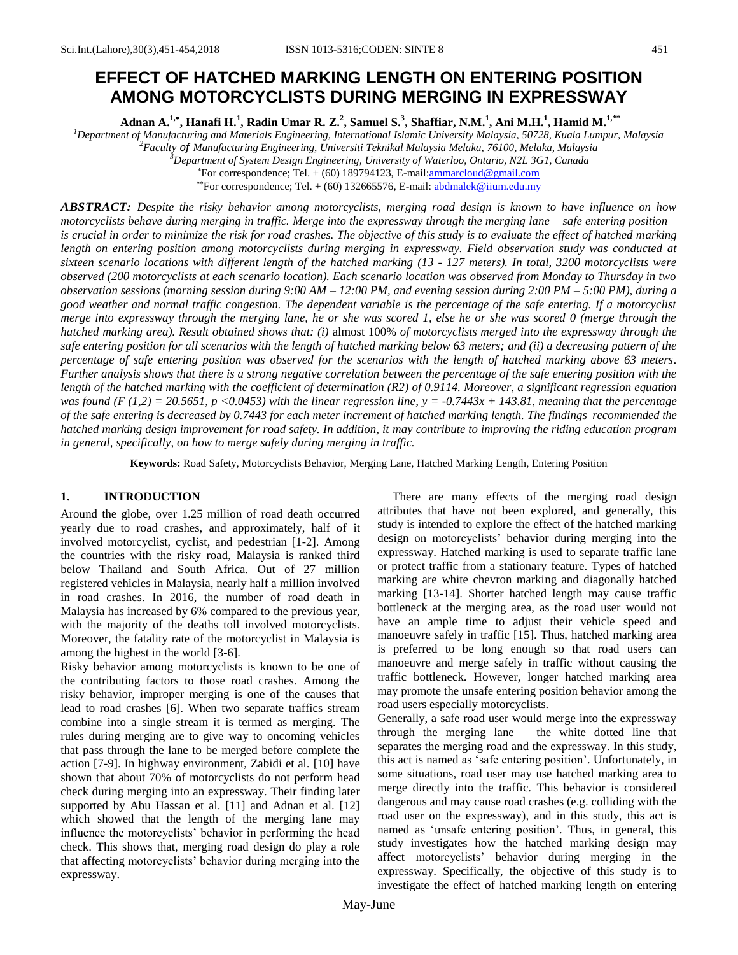# **EFFECT OF HATCHED MARKING LENGTH ON ENTERING POSITION AMONG MOTORCYCLISTS DURING MERGING IN EXPRESSWAY**

**Adnan A.1, , Hanafi H.<sup>1</sup> , Radin Umar R. Z.<sup>2</sup> , Samuel S.<sup>3</sup> , Shaffiar, N.M.<sup>1</sup> , Ani M.H.<sup>1</sup> , Hamid M.1,\*\***

*Department of Manufacturing and Materials Engineering, International Islamic University Malaysia, 50728, Kuala Lumpur, Malaysia Faculty of Manufacturing Engineering, Universiti Teknikal Malaysia Melaka, 76100, Melaka, Malaysia Department of System Design Engineering, University of Waterloo, Ontario, N2L 3G1, Canada* For correspondence; Tel. + (60) 189794123, E-mail[:ammarcloud@gmail.com](mailto:ammarcloud@gmail.com)

\*\*For correspondence; Tel.  $+$  (60) 132665576, E-mail: **abdmalek@iium.edu.my** 

*ABSTRACT: Despite the risky behavior among motorcyclists, merging road design is known to have influence on how motorcyclists behave during merging in traffic. Merge into the expressway through the merging lane – safe entering position – is crucial in order to minimize the risk for road crashes. The objective of this study is to evaluate the effect of hatched marking length on entering position among motorcyclists during merging in expressway. Field observation study was conducted at sixteen scenario locations with different length of the hatched marking (13 - 127 meters). In total, 3200 motorcyclists were observed (200 motorcyclists at each scenario location). Each scenario location was observed from Monday to Thursday in two observation sessions (morning session during 9:00 AM – 12:00 PM, and evening session during 2:00 PM – 5:00 PM), during a good weather and normal traffic congestion. The dependent variable is the percentage of the safe entering. If a motorcyclist merge into expressway through the merging lane, he or she was scored 1, else he or she was scored 0 (merge through the hatched marking area). Result obtained shows that: (i)* almost 100% *of motorcyclists merged into the expressway through the safe entering position for all scenarios with the length of hatched marking below 63 meters; and (ii) a decreasing pattern of the percentage of safe entering position was observed for the scenarios with the length of hatched marking above 63 meters. Further analysis shows that there is a strong negative correlation between the percentage of the safe entering position with the length of the hatched marking with the coefficient of determination (R2) of 0.9114. Moreover, a significant regression equation was found (F (1,2) = 20.5651, p <0.0453) with the linear regression line, y = -0.7443x + 143.81, meaning that the percentage of the safe entering is decreased by 0.7443 for each meter increment of hatched marking length. The findings recommended the hatched marking design improvement for road safety. In addition, it may contribute to improving the riding education program in general, specifically, on how to merge safely during merging in traffic.*

**Keywords:** Road Safety, Motorcyclists Behavior, Merging Lane, Hatched Marking Length, Entering Position

# **1. INTRODUCTION**

Around the globe, over 1.25 million of road death occurred yearly due to road crashes, and approximately, half of it involved motorcyclist, cyclist, and pedestrian [1-2]. Among the countries with the risky road, Malaysia is ranked third below Thailand and South Africa. Out of 27 million registered vehicles in Malaysia, nearly half a million involved in road crashes. In 2016, the number of road death in Malaysia has increased by 6% compared to the previous year, with the majority of the deaths toll involved motorcyclists. Moreover, the fatality rate of the motorcyclist in Malaysia is among the highest in the world [3-6].

Risky behavior among motorcyclists is known to be one of the contributing factors to those road crashes. Among the risky behavior, improper merging is one of the causes that lead to road crashes [6]. When two separate traffics stream combine into a single stream it is termed as merging. The rules during merging are to give way to oncoming vehicles that pass through the lane to be merged before complete the action [7-9]. In highway environment, Zabidi et al. [10] have shown that about 70% of motorcyclists do not perform head check during merging into an expressway. Their finding later supported by Abu Hassan et al. [11] and Adnan et al. [12] which showed that the length of the merging lane may influence the motorcyclists' behavior in performing the head check. This shows that, merging road design do play a role that affecting motorcyclists' behavior during merging into the expressway.

 There are many effects of the merging road design attributes that have not been explored, and generally, this study is intended to explore the effect of the hatched marking design on motorcyclists' behavior during merging into the expressway. Hatched marking is used to separate traffic lane or protect traffic from a stationary feature. Types of hatched marking are white chevron marking and diagonally hatched marking [13-14]. Shorter hatched length may cause traffic bottleneck at the merging area, as the road user would not have an ample time to adjust their vehicle speed and manoeuvre safely in traffic [15]. Thus, hatched marking area is preferred to be long enough so that road users can manoeuvre and merge safely in traffic without causing the traffic bottleneck. However, longer hatched marking area may promote the unsafe entering position behavior among the road users especially motorcyclists.

Generally, a safe road user would merge into the expressway through the merging lane – the white dotted line that separates the merging road and the expressway. In this study, this act is named as 'safe entering position'. Unfortunately, in some situations, road user may use hatched marking area to merge directly into the traffic. This behavior is considered dangerous and may cause road crashes (e.g. colliding with the road user on the expressway), and in this study, this act is named as 'unsafe entering position'. Thus, in general, this study investigates how the hatched marking design may affect motorcyclists' behavior during merging in the expressway. Specifically, the objective of this study is to investigate the effect of hatched marking length on entering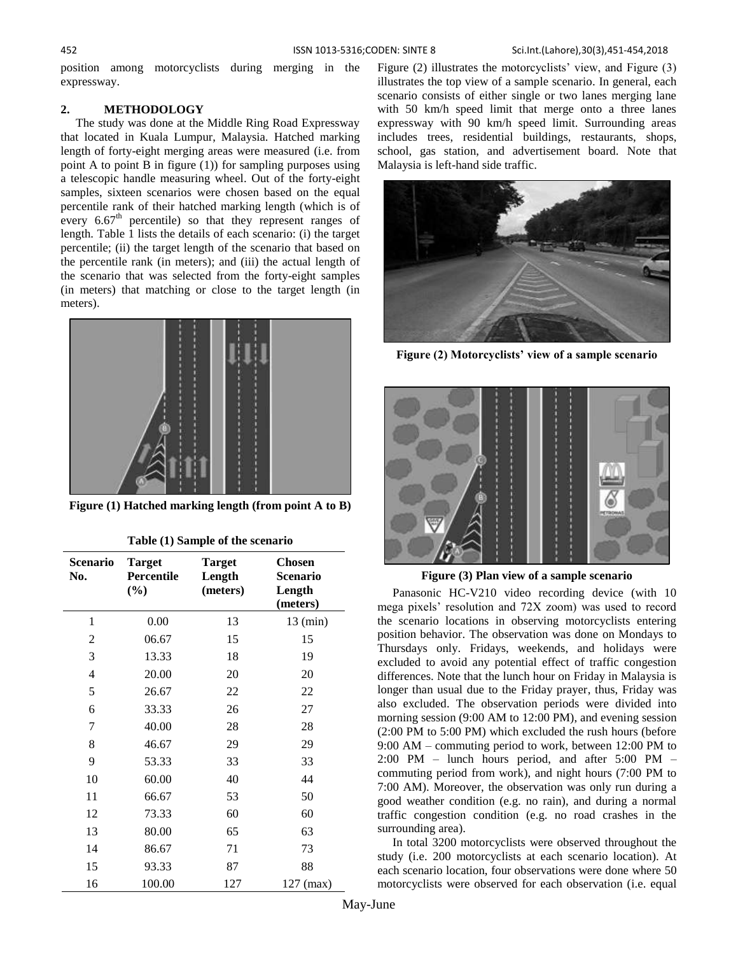#### 452 ISSN 1013-5316;CODEN: SINTE 8 Sci.Int.(Lahore),30(3),451-454,2018

position among motorcyclists during merging in the expressway.

# **2. METHODOLOGY**

 The study was done at the Middle Ring Road Expressway that located in Kuala Lumpur, Malaysia. Hatched marking length of forty-eight merging areas were measured (i.e. from point A to point B in figure (1)) for sampling purposes using a telescopic handle measuring wheel. Out of the forty-eight samples, sixteen scenarios were chosen based on the equal percentile rank of their hatched marking length (which is of every  $6.67<sup>th</sup>$  percentile) so that they represent ranges of length. Table 1 lists the details of each scenario: (i) the target percentile; (ii) the target length of the scenario that based on the percentile rank (in meters); and (iii) the actual length of the scenario that was selected from the forty-eight samples (in meters) that matching or close to the target length (in meters).



**Figure (1) Hatched marking length (from point A to B)**

| Scenario<br>No. | <b>Target</b><br>Percentile<br>(%) | <b>Target</b><br>Length<br>(meters) | <b>Chosen</b><br>Scenario<br>Length<br>(meters) |
|-----------------|------------------------------------|-------------------------------------|-------------------------------------------------|
| 1               | 0.00                               | 13                                  | $13 \text{ (min)}$                              |
| 2               | 06.67                              | 15                                  | 15                                              |
| 3               | 13.33                              | 18                                  | 19                                              |
| 4               | 20.00                              | 20                                  | 20                                              |
| 5               | 26.67                              | 22                                  | 22                                              |
| 6               | 33.33                              | 26                                  | 27                                              |
| 7               | 40.00                              | 28                                  | 28                                              |
| 8               | 46.67                              | 29                                  | 29                                              |
| 9               | 53.33                              | 33                                  | 33                                              |
| 10              | 60.00                              | 40                                  | 44                                              |
| 11              | 66.67                              | 53                                  | 50                                              |
| 12              | 73.33                              | 60                                  | 60                                              |
| 13              | 80.00                              | 65                                  | 63                                              |
| 14              | 86.67                              | 71                                  | 73                                              |
| 15              | 93.33                              | 87                                  | 88                                              |
| 16              | 100.00                             | 127                                 | 127 (max)                                       |

| Table (1) Sample of the scenario |  |  |  |
|----------------------------------|--|--|--|
|----------------------------------|--|--|--|

Figure (2) illustrates the motorcyclists' view, and Figure (3) illustrates the top view of a sample scenario. In general, each scenario consists of either single or two lanes merging lane with 50 km/h speed limit that merge onto a three lanes expressway with 90 km/h speed limit. Surrounding areas includes trees, residential buildings, restaurants, shops, school, gas station, and advertisement board. Note that Malaysia is left-hand side traffic.



**Figure (2) Motorcyclists' view of a sample scenario**



**Figure (3) Plan view of a sample scenario**

 Panasonic HC-V210 video recording device (with 10 mega pixels' resolution and 72X zoom) was used to record the scenario locations in observing motorcyclists entering position behavior. The observation was done on Mondays to Thursdays only. Fridays, weekends, and holidays were excluded to avoid any potential effect of traffic congestion differences. Note that the lunch hour on Friday in Malaysia is longer than usual due to the Friday prayer, thus, Friday was also excluded. The observation periods were divided into morning session (9:00 AM to 12:00 PM), and evening session (2:00 PM to 5:00 PM) which excluded the rush hours (before 9:00 AM – commuting period to work, between 12:00 PM to 2:00 PM – lunch hours period, and after 5:00 PM – commuting period from work), and night hours (7:00 PM to 7:00 AM). Moreover, the observation was only run during a good weather condition (e.g. no rain), and during a normal traffic congestion condition (e.g. no road crashes in the surrounding area).

 In total 3200 motorcyclists were observed throughout the study (i.e. 200 motorcyclists at each scenario location). At each scenario location, four observations were done where 50 motorcyclists were observed for each observation (i.e. equal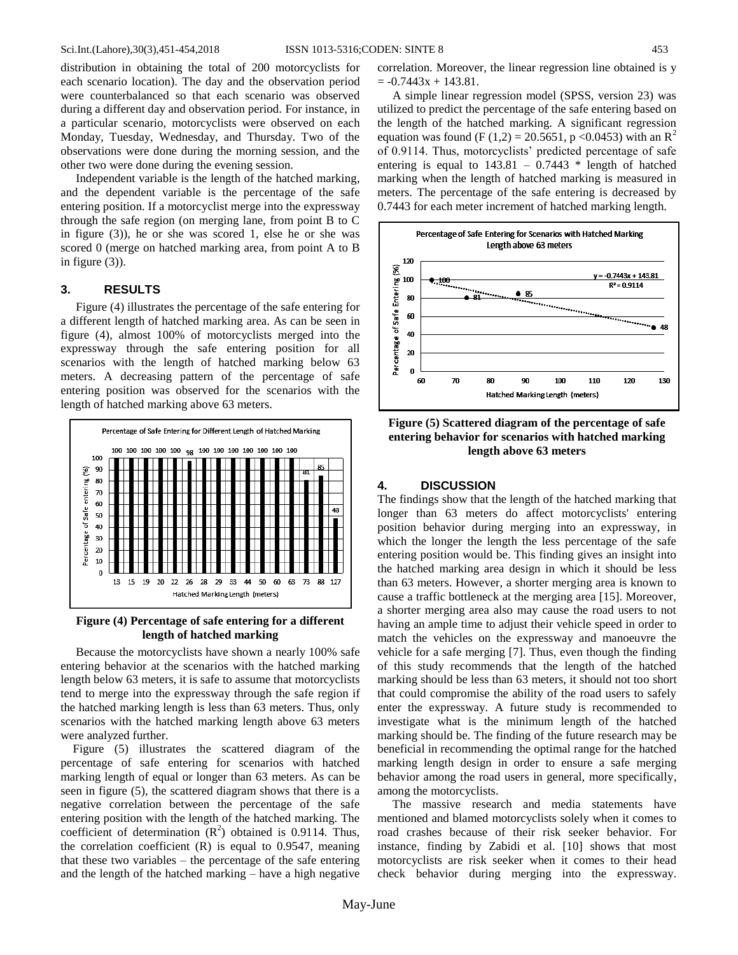distribution in obtaining the total of 200 motorcyclists for each scenario location). The day and the observation period were counterbalanced so that each scenario was observed during a different day and observation period. For instance, in a particular scenario, motorcyclists were observed on each Monday, Tuesday, Wednesday, and Thursday. Two of the observations were done during the morning session, and the other two were done during the evening session.

 Independent variable is the length of the hatched marking, and the dependent variable is the percentage of the safe entering position. If a motorcyclist merge into the expressway through the safe region (on merging lane, from point B to C in figure (3)), he or she was scored 1, else he or she was scored 0 (merge on hatched marking area, from point A to B in figure (3)).

#### **3. RESULTS**

 Figure (4) illustrates the percentage of the safe entering for a different length of hatched marking area. As can be seen in figure (4), almost 100% of motorcyclists merged into the expressway through the safe entering position for all scenarios with the length of hatched marking below 63 meters. A decreasing pattern of the percentage of safe entering position was observed for the scenarios with the length of hatched marking above 63 meters.



**Figure (4) Percentage of safe entering for a different length of hatched marking**

 Because the motorcyclists have shown a nearly 100% safe entering behavior at the scenarios with the hatched marking length below 63 meters, it is safe to assume that motorcyclists tend to merge into the expressway through the safe region if the hatched marking length is less than 63 meters. Thus, only scenarios with the hatched marking length above 63 meters were analyzed further.

 Figure (5) illustrates the scattered diagram of the percentage of safe entering for scenarios with hatched marking length of equal or longer than 63 meters. As can be seen in figure (5), the scattered diagram shows that there is a negative correlation between the percentage of the safe entering position with the length of the hatched marking. The coefficient of determination  $(R^2)$  obtained is 0.9114. Thus, the correlation coefficient  $(R)$  is equal to 0.9547, meaning that these two variables – the percentage of the safe entering and the length of the hatched marking – have a high negative

correlation. Moreover, the linear regression line obtained is y  $= -0.7443x + 143.81$ .

 A simple linear regression model (SPSS, version 23) was utilized to predict the percentage of the safe entering based on the length of the hatched marking. A significant regression equation was found (F (1,2) = 20.5651, p < 0.0453) with an R<sup>2</sup> of 0.9114. Thus, motorcyclists' predicted percentage of safe entering is equal to  $143.81 - 0.7443$  \* length of hatched marking when the length of hatched marking is measured in meters. The percentage of the safe entering is decreased by 0.7443 for each meter increment of hatched marking length.



**Figure (5) Scattered diagram of the percentage of safe entering behavior for scenarios with hatched marking length above 63 meters**

# **4. DISCUSSION**

The findings show that the length of the hatched marking that longer than 63 meters do affect motorcyclists' entering position behavior during merging into an expressway, in which the longer the length the less percentage of the safe entering position would be. This finding gives an insight into the hatched marking area design in which it should be less than 63 meters. However, a shorter merging area is known to cause a traffic bottleneck at the merging area [15]. Moreover, a shorter merging area also may cause the road users to not having an ample time to adjust their vehicle speed in order to match the vehicles on the expressway and manoeuvre the vehicle for a safe merging [7]. Thus, even though the finding of this study recommends that the length of the hatched marking should be less than 63 meters, it should not too short that could compromise the ability of the road users to safely enter the expressway. A future study is recommended to investigate what is the minimum length of the hatched marking should be. The finding of the future research may be beneficial in recommending the optimal range for the hatched marking length design in order to ensure a safe merging behavior among the road users in general, more specifically, among the motorcyclists.

 The massive research and media statements have mentioned and blamed motorcyclists solely when it comes to road crashes because of their risk seeker behavior. For instance, finding by Zabidi et al. [10] shows that most motorcyclists are risk seeker when it comes to their head check behavior during merging into the expressway.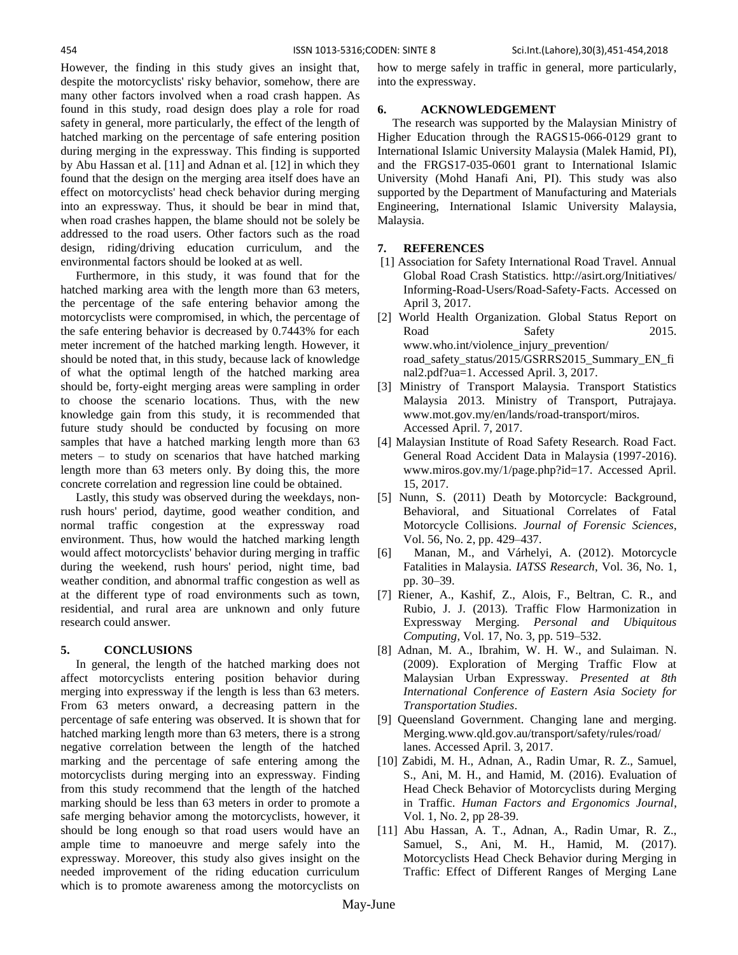However, the finding in this study gives an insight that, despite the motorcyclists' risky behavior, somehow, there are many other factors involved when a road crash happen. As found in this study, road design does play a role for road safety in general, more particularly, the effect of the length of hatched marking on the percentage of safe entering position during merging in the expressway. This finding is supported by Abu Hassan et al. [11] and Adnan et al. [12] in which they found that the design on the merging area itself does have an effect on motorcyclists' head check behavior during merging into an expressway. Thus, it should be bear in mind that, when road crashes happen, the blame should not be solely be addressed to the road users. Other factors such as the road design, riding/driving education curriculum, and the environmental factors should be looked at as well.

 Furthermore, in this study, it was found that for the hatched marking area with the length more than 63 meters, the percentage of the safe entering behavior among the motorcyclists were compromised, in which, the percentage of the safe entering behavior is decreased by 0.7443% for each meter increment of the hatched marking length. However, it should be noted that, in this study, because lack of knowledge of what the optimal length of the hatched marking area should be, forty-eight merging areas were sampling in order to choose the scenario locations. Thus, with the new knowledge gain from this study, it is recommended that future study should be conducted by focusing on more samples that have a hatched marking length more than 63 meters – to study on scenarios that have hatched marking length more than 63 meters only. By doing this, the more concrete correlation and regression line could be obtained.

 Lastly, this study was observed during the weekdays, nonrush hours' period, daytime, good weather condition, and normal traffic congestion at the expressway road environment. Thus, how would the hatched marking length would affect motorcyclists' behavior during merging in traffic during the weekend, rush hours' period, night time, bad weather condition, and abnormal traffic congestion as well as at the different type of road environments such as town, residential, and rural area are unknown and only future research could answer.

### **5. CONCLUSIONS**

 In general, the length of the hatched marking does not affect motorcyclists entering position behavior during merging into expressway if the length is less than 63 meters. From 63 meters onward, a decreasing pattern in the percentage of safe entering was observed. It is shown that for hatched marking length more than 63 meters, there is a strong negative correlation between the length of the hatched marking and the percentage of safe entering among the motorcyclists during merging into an expressway. Finding from this study recommend that the length of the hatched marking should be less than 63 meters in order to promote a safe merging behavior among the motorcyclists, however, it should be long enough so that road users would have an ample time to manoeuvre and merge safely into the expressway. Moreover, this study also gives insight on the needed improvement of the riding education curriculum which is to promote awareness among the motorcyclists on how to merge safely in traffic in general, more particularly, into the expressway.

#### **6. ACKNOWLEDGEMENT**

 The research was supported by the Malaysian Ministry of Higher Education through the RAGS15-066-0129 grant to International Islamic University Malaysia (Malek Hamid, PI), and the FRGS17-035-0601 grant to International Islamic University (Mohd Hanafi Ani, PI). This study was also supported by the Department of Manufacturing and Materials Engineering, International Islamic University Malaysia, Malaysia.

#### **7. REFERENCES**

- [1] Association for Safety International Road Travel. Annual Global Road Crash Statistics. http://asirt.org/Initiatives/ Informing-Road-Users/Road-Safety-Facts. Accessed on April 3, 2017.
- [2] World Health Organization. Global Status Report on Road Safety 2015. www.who.int/violence\_injury\_prevention/ road\_safety\_status/2015/GSRRS2015\_Summary\_EN\_fi nal2.pdf?ua=1. Accessed April. 3, 2017.
- [3] Ministry of Transport Malaysia. Transport Statistics Malaysia 2013. Ministry of Transport, Putrajaya. www.mot.gov.my/en/lands/road-transport/miros. Accessed April. 7, 2017.
- [4] Malaysian Institute of Road Safety Research. Road Fact. General Road Accident Data in Malaysia (1997-2016). www.miros.gov.my/1/page.php?id=17. Accessed April. 15, 2017.
- [5] Nunn, S. (2011) Death by Motorcycle: Background, Behavioral, and Situational Correlates of Fatal Motorcycle Collisions. *Journal of Forensic Sciences*, Vol. 56, No. 2, pp. 429–437.
- [6] Manan, M., and Várhelyi, A. (2012). Motorcycle Fatalities in Malaysia. *IATSS Research*, Vol. 36, No. 1, pp. 30–39.
- [7] Riener, A., Kashif, Z., Alois, F., Beltran, C. R., and Rubio, J. J. (2013). Traffic Flow Harmonization in Expressway Merging. *Personal and Ubiquitous Computing*, Vol. 17, No. 3, pp. 519–532.
- [8] Adnan, M. A., Ibrahim, W. H. W., and Sulaiman. N. (2009). Exploration of Merging Traffic Flow at Malaysian Urban Expressway. *Presented at 8th International Conference of Eastern Asia Society for Transportation Studies*.
- [9] Queensland Government. Changing lane and merging. Merging.www.qld.gov.au/transport/safety/rules/road/ lanes. Accessed April. 3, 2017.
- [10] Zabidi, M. H., Adnan, A., Radin Umar, R. Z., Samuel, S., Ani, M. H., and Hamid, M. (2016). Evaluation of Head Check Behavior of Motorcyclists during Merging in Traffic. *Human Factors and Ergonomics Journal*, Vol. 1, No. 2, pp 28-39.
- [11] Abu Hassan, A. T., Adnan, A., Radin Umar, R. Z., Samuel, S., Ani, M. H., Hamid, M. (2017). Motorcyclists Head Check Behavior during Merging in Traffic: Effect of Different Ranges of Merging Lane